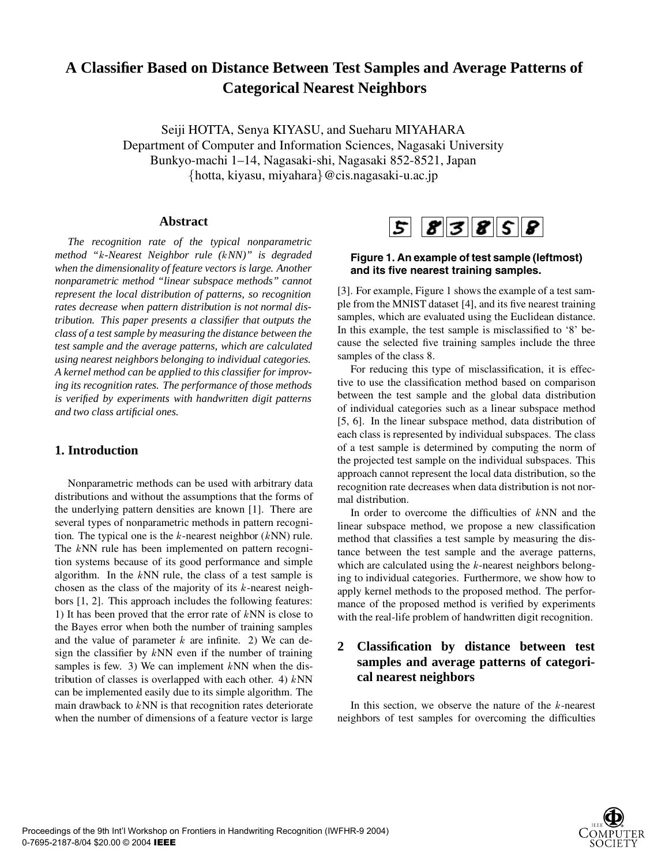# **A Classifier Based on Distance Between Test Samples and Average Patterns of Categorical Nearest Neighbors**

Seiji HOTTA, Senya KIYASU, and Sueharu MIYAHARA Department of Computer and Information Sciences, Nagasaki University Bunkyo-machi 1–14, Nagasaki-shi, Nagasaki 852-8521, Japan hotta, kiyasu, miyahara@cis.nagasaki-u.ac.jp

# **Abstract**

*The recognition rate of the typical nonparametric method "-Nearest Neighbor rule (NN)" is degraded when the dimensionality of feature vectors is large. Another nonparametric method "linear subspace methods" cannot represent the local distribution of patterns, so recognition rates decrease when pattern distribution is not normal distribution. This paper presents a classifier that outputs the class of a test sample by measuring the distance between the test sample and the average patterns, which are calculated using nearest neighbors belonging to individual categories. A kernel method can be applied to this classifier for improving its recognition rates. The performance of those methods is verified by experiments with handwritten digit patterns and two class artificial ones.*

# **1. Introduction**

Nonparametric methods can be used with arbitrary data distributions and without the assumptions that the forms of the underlying pattern densities are known [1]. There are several types of nonparametric methods in pattern recognition. The typical one is the  $k$ -nearest neighbor  $(kNN)$  rule. The  $k$ NN rule has been implemented on pattern recognition systems because of its good performance and simple algorithm. In the  $kNN$  rule, the class of a test sample is chosen as the class of the majority of its  $k$ -nearest neighbors [1, 2]. This approach includes the following features: 1) It has been proved that the error rate of  $kNN$  is close to the Bayes error when both the number of training samples and the value of parameter  $k$  are infinite. 2) We can design the classifier by  $kNN$  even if the number of training samples is few. 3) We can implement  $kNN$  when the distribution of classes is overlapped with each other. 4)  $kNN$ can be implemented easily due to its simple algorithm. The main drawback to  $kNN$  is that recognition rates deteriorate when the number of dimensions of a feature vector is large



# **Figure 1. An example of test sample (leftmost) and its five nearest training samples.**

[3]. For example, Figure 1 shows the example of a test sample from the MNIST dataset [4], and its five nearest training samples, which are evaluated using the Euclidean distance. In this example, the test sample is misclassified to '8' because the selected five training samples include the three samples of the class 8.

For reducing this type of misclassification, it is effective to use the classification method based on comparison between the test sample and the global data distribution of individual categories such as a linear subspace method [5, 6]. In the linear subspace method, data distribution of each class is represented by individual subspaces. The class of a test sample is determined by computing the norm of the projected test sample on the individual subspaces. This approach cannot represent the local data distribution, so the recognition rate decreases when data distribution is not normal distribution.

In order to overcome the difficulties of  $kNN$  and the linear subspace method, we propose a new classification method that classifies a test sample by measuring the distance between the test sample and the average patterns, which are calculated using the  $k$ -nearest neighbors belonging to individual categories. Furthermore, we show how to apply kernel methods to the proposed method. The performance of the proposed method is verified by experiments with the real-life problem of handwritten digit recognition.

# **2 Classification by distance between test samples and average patterns of categorical nearest neighbors**

In this section, we observe the nature of the  $k$ -nearest neighbors of test samples for overcoming the difficulties

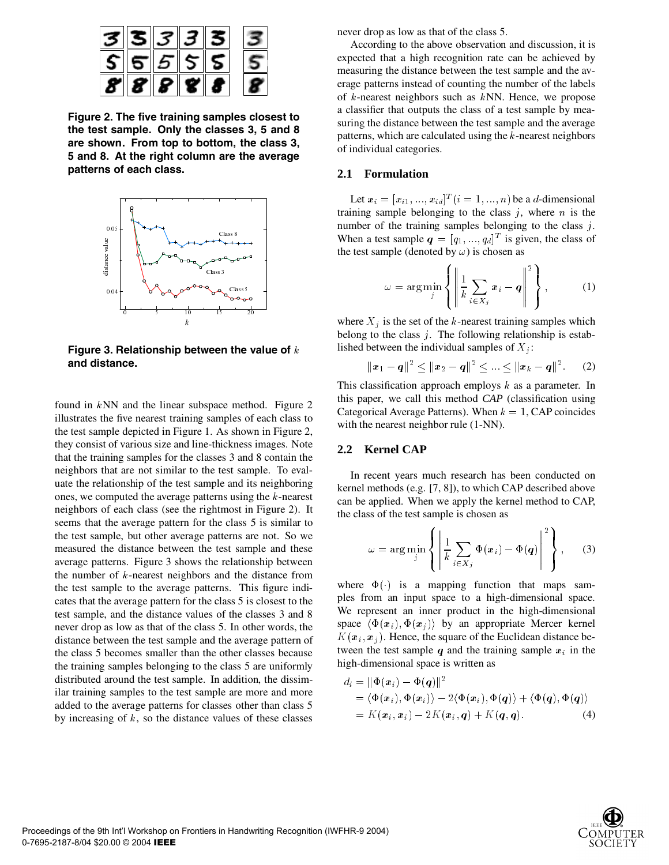

**Figure 2. The five training samples closest to the test sample. Only the classes 3, 5 and 8 are shown. From top to bottom, the class 3, 5 and 8. At the right column are the average patterns of each class.**



**Figure 3. Relationship between the value of and distance.**

found in  $kNN$  and the linear subspace method. Figure 2 illustrates the five nearest training samples of each class to the test sample depicted in Figure 1. As shown in Figure 2, they consist of various size and line-thickness images. Note that the training samples for the classes 3 and 8 contain the neighbors that are not similar to the test sample. To evaluate the relationship of the test sample and its neighboring ones, we computed the average patterns using the  $k$ -nearest neighbors of each class (see the rightmost in Figure 2). It seems that the average pattern for the class 5 is similar to the test sample, but other average patterns are not. So we measured the distance between the test sample and these average patterns. Figure 3 shows the relationship between the number of  $k$ -nearest neighbors and the distance from the test sample to the average patterns. This figure indicates that the average pattern for the class 5 is closest to the test sample, and the distance values of the classes 3 and 8 never drop as low as that of the class 5. In other words, the distance between the test sample and the average pattern of the class 5 becomes smaller than the other classes because the training samples belonging to the class 5 are uniformly distributed around the test sample. In addition, the dissimilar training samples to the test sample are more and more added to the average patterns for classes other than class 5 by increasing of  $k$ , so the distance values of these classes

never drop as low as that of the class 5.

According to the above observation and discussion, it is expected that a high recognition rate can be achieved by measuring the distance between the test sample and the average patterns instead of counting the number of the labels of  $k$ -nearest neighbors such as  $kNN$ . Hence, we propose a classifier that outputs the class of a test sample by measuring the distance between the test sample and the average patterns, which are calculated using the  $k$ -nearest neighbors of individual categories.

## **2.1 Formulation**

Let  $x_i = [x_{i1}, ..., x_{id}]^T (i = 1, ..., n)$  be a d-dimensional training sample belonging to the class  $j$ , where  $n$  is the number of the training samples belonging to the class  $j$ . When a test sample  $q = [q_1, ..., q_d]^T$  is given, the class of the test sample (denoted by  $\omega$ ) is chosen as

$$
\omega = \arg\min_{j} \left\{ \left\| \frac{1}{k} \sum_{i \in X_j} x_i - q \right\|^2 \right\},\qquad(1)
$$

where  $X_j$  is the set of the k-nearest training samples which belong to the class  $j$ . The following relationship is established between the individual samples of  $X_i$ :

$$
\|\boldsymbol{x}_1-\boldsymbol{q}\|^2 \leq \|\boldsymbol{x}_2-\boldsymbol{q}\|^2 \leq ... \leq \|\boldsymbol{x}_k-\boldsymbol{q}\|^2. \qquad (2)
$$

This classification approach employs  $k$  as a parameter. In this paper, we call this method *CAP* (classification using Categorical Average Patterns). When  $k = 1$ , CAP coincides with the nearest neighbor rule (1-NN).

# **2.2 Kernel CAP**

In recent years much research has been conducted on kernel methods (e.g. [7, 8]), to which CAP described above can be applied. When we apply the kernel method to CAP, the class of the test sample is chosen as

$$
\omega = \arg\min_{j} \left\{ \left\| \frac{1}{k} \sum_{i \in X_j} \Phi(x_i) - \Phi(q) \right\|^2 \right\}, \quad (3)
$$

where  $\Phi(\cdot)$  is a mapping function that maps samples from an input space to a high-dimensional space. We represent an inner product in the high-dimensional space  $\langle \Phi(x_i), \Phi(x_j) \rangle$  by an appropriate Mercer kernel  $K(\mathbf{x}_i, \mathbf{x}_j)$ . Hence, the square of the Euclidean distance between the test sample  $q$  and the training sample  $x_i$  in the high-dimensional space is written as

$$
d_i = \|\Phi(\boldsymbol{x}_i) - \Phi(\boldsymbol{q})\|^2
$$
  
=  $\langle \Phi(\boldsymbol{x}_i), \Phi(\boldsymbol{x}_i) \rangle - 2 \langle \Phi(\boldsymbol{x}_i), \Phi(\boldsymbol{q}) \rangle + \langle \Phi(\boldsymbol{q}), \Phi(\boldsymbol{q}) \rangle$   
=  $K(\boldsymbol{x}_i, \boldsymbol{x}_i) - 2K(\boldsymbol{x}_i, \boldsymbol{q}) + K(\boldsymbol{q}, \boldsymbol{q}).$  (4)

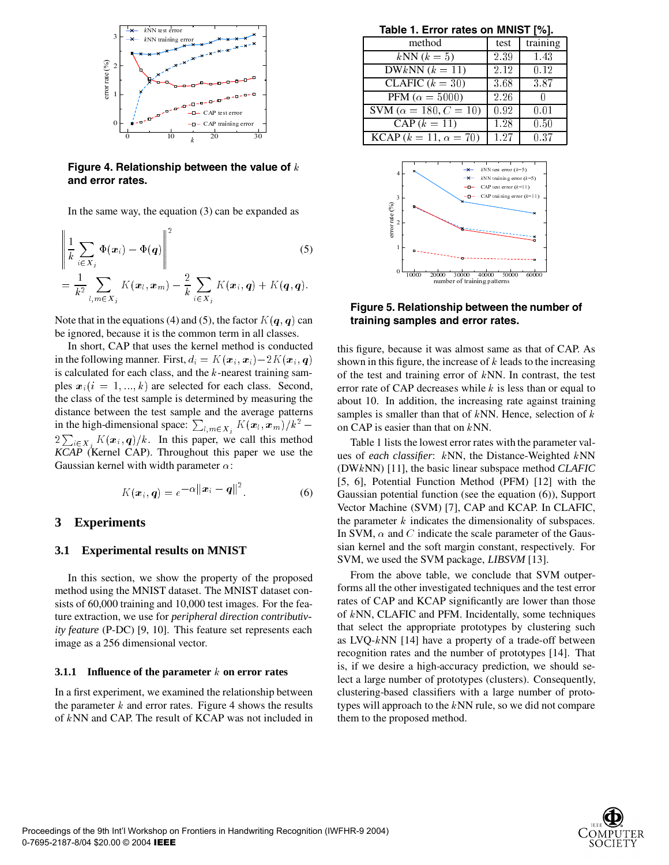

**Figure 4. Relationship between the value of and error rates.**

In the same way, the equation (3) can be expanded as

$$
\left\| \frac{1}{k} \sum_{i \in X_j} \Phi(\boldsymbol{x}_i) - \Phi(q) \right\|^2 \tag{5}
$$
\n
$$
= \frac{1}{k^2} \sum_{l,m \in X_j} K(\boldsymbol{x}_l, \boldsymbol{x}_m) - \frac{2}{k} \sum_{i \in X_j} K(\boldsymbol{x}_i, q) + K(q, q).
$$

Note that in the equations (4) and (5), the factor  $K(\bm{q},\bm{q})$  can be ignored, because it is the common term in all classes.

In short, CAP that uses the kernel method is conducted in the following manner. First,  $d_i = K(\boldsymbol{x}_i, \boldsymbol{x}_i) - 2K(\boldsymbol{x}_i, \boldsymbol{q})$ is calculated for each class, and the  $k$ -nearest training samples  $x_i$  ( $i = 1, ..., k$ ) are selected for each class. Second, the class of the test sample is determined by measuring the distance between the test sample and the average patterns in the high-dimensional space:  $\sum_{l,m \in X_i} K(\boldsymbol{x}_l, \boldsymbol{x}_m) / k^2$  –  $\qquad$  $2\sum_{i\in X_i} K(\mathbf{x}_i, \mathbf{q})/k$ . In this paper, we call this method . . . . . *KCAP* (Kernel CAP). Throughout this paper we use the Gaussian kernel with width parameter  $\alpha$ :

$$
K(\boldsymbol{x}_i, \boldsymbol{q}) = e^{-\alpha ||\boldsymbol{x}_i - \boldsymbol{q}||^2}.
$$
 (6)

## **3 Experiments**

#### **3.1 Experimental results on MNIST**

In this section, we show the property of the proposed method using the MNIST dataset. The MNIST dataset consists of 60,000 training and 10,000 test images. For the feature extraction, we use for *peripheral direction contributivity feature* (P-DC) [9, 10]. This feature set represents each image as a 256 dimensional vector.

#### **3.1.1** Influence of the parameter k on error rates

In a first experiment, we examined the relationship between the parameter  $k$  and error rates. Figure 4 shows the results of  $kNN$  and CAP. The result of KCAP was not included in

**Table 1. Error rates on MNIST [%].**

| method                                   | test | training |
|------------------------------------------|------|----------|
| $kNN (k=5)$                              | 2.39 | 1.43     |
| $\overline{\text{DW}_k}$ NN $(k=11)$     | 2.12 | 0.12     |
| $\overline{\text{CLAFIC}}$ $(k = 30)$    | 3.68 | 3.87     |
| PFM ( $\alpha = 5000$ )                  | 2.26 |          |
| SVM ( $\alpha = 180, C = 10$ )           | 0.92 | 0.01     |
| $CAP (k = 11)$                           | 1.28 | 0.50     |
| <b>KCAP</b> ( $k = 11$ , $\alpha = 70$ ) | 1 27 | 0.37     |



**Figure 5. Relationship between the number of training samples and error rates.**

this figure, because it was almost same as that of CAP. As shown in this figure, the increase of  $k$  leads to the increasing of the test and training error of  $kNN$ . In contrast, the test error rate of CAP decreases while  $k$  is less than or equal to about 10. In addition, the increasing rate against training samples is smaller than that of  $kNN$ . Hence, selection of  $k$ on CAP is easier than that on  $kNN$ .

Table 1 lists the lowest error rates with the parameter values of *each classifier*: kNN, the Distance-Weighted kNN (DWNN) [11], the basic linear subspace method *CLAFIC* [5, 6], Potential Function Method (PFM) [12] with the Gaussian potential function (see the equation (6)), Support Vector Machine (SVM) [7], CAP and KCAP. In CLAFIC, the parameter  $k$  indicates the dimensionality of subspaces. In SVM,  $\alpha$  and C indicate the scale parameter of the Gaussian kernel and the soft margin constant, respectively. For SVM, we used the SVM package, *LIBSVM* [13].

**number of the set of the set of the set of the set of the set of the increase of**  $k$  **leag g error of**  $k$  **NN. Headses while**  $k$  **is 1, the increasing r in that of**  $k$  **NN. Headse in that on**  $k$  **NN. Headse increase with**  $k$ From the above table, we conclude that SVM outperforms all the other investigated techniques and the test error rates of CAP and KCAP significantly are lower than those of  $k$ NN, CLAFIC and PFM. Incidentally, some techniques that select the appropriate prototypes by clustering such as LVQ- $k$ NN [14] have a property of a trade-off between recognition rates and the number of prototypes [14]. That is, if we desire a high-accuracy prediction, we should select a large number of prototypes (clusters). Consequently, clustering-based classifiers with a large number of prototypes will approach to the  $kNN$  rule, so we did not compare them to the proposed method.

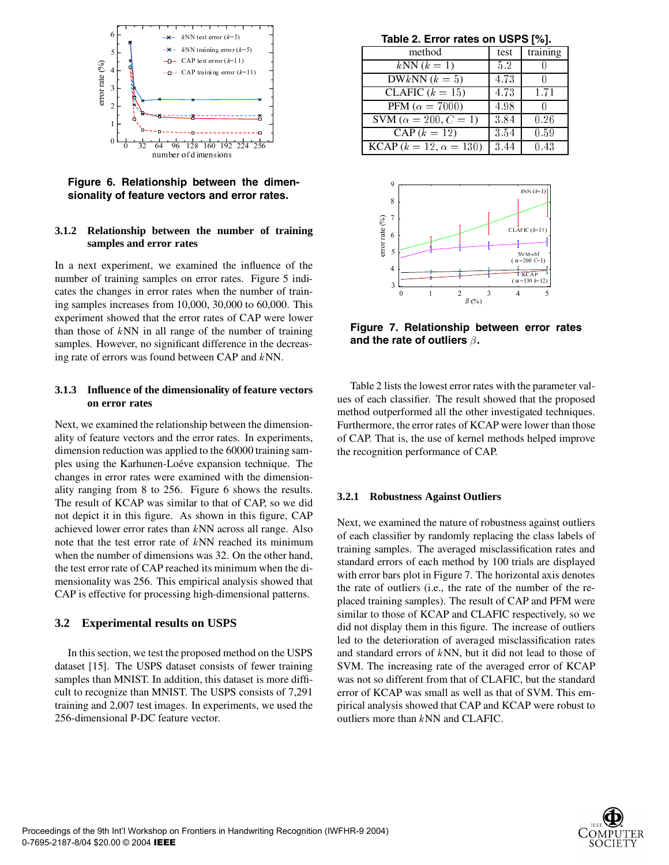

**Figure 6. Relationship between the dimensionality of feature vectors and error rates.**

#### **3.1.2 Relationship between the number of training samples and error rates**

In a next experiment, we examined the influence of the number of training samples on error rates. Figure 5 indicates the changes in error rates when the number of training samples increases from 10,000, 30,000 to 60,000. This experiment showed that the error rates of CAP were lower than those of  $kNN$  in all range of the number of training samples. However, no significant difference in the decreasing rate of errors was found between CAP and  $kNN$ .

## **3.1.3 Influence of the dimensionality of feature vectors on error rates**

Next, we examined the relationship between the dimensionality of feature vectors and the error rates. In experiments, dimension reduction was applied to the 60000 training samples using the Karhunen-Loéve expansion technique. The changes in error rates were examined with the dimensionality ranging from 8 to 256. Figure 6 shows the results. The result of KCAP was similar to that of CAP, so we did not depict it in this figure. As shown in this figure, CAP achieved lower error rates than  $kNN$  across all range. Also note that the test error rate of  $kNN$  reached its minimum when the number of dimensions was 32. On the other hand, the test error rate of CAP reached its minimum when the dimensionality was 256. This empirical analysis showed that CAP is effective for processing high-dimensional patterns.

#### **3.2 Experimental results on USPS**

In this section, we test the proposed method on the USPS dataset [15]. The USPS dataset consists of fewer training samples than MNIST. In addition, this dataset is more difficult to recognize than MNIST. The USPS consists of 7,291 training and 2,007 test images. In experiments, we used the 256-dimensional P-DC feature vector.

**Table 2. Error rates on USPS [%].**

| method                                    | test | training |
|-------------------------------------------|------|----------|
| $kNN (k=1)$                               | 5.2  |          |
| DWkNN $(k=5)$                             | 4.73 |          |
| CLAFIC $(k = 15)$                         | 4.73 | 1.71     |
| PFM ( $\alpha = 7000$ )                   | 4.98 |          |
| SVM ( $\alpha = 200, C = 1$ )             | 3.84 | 0.26     |
| $CAP (k = 12)$                            | 3.54 | 0.59     |
| <b>KCAP</b> ( $k = 12$ , $\alpha = 130$ ) | 3.44 | 0.43     |



**Figure 7. Relationship between error rates** and the rate of outliers  $\beta$ .

 $\frac{130 \ k}{\pi}$ <br>  $\frac{130 \ k}{\pi}$ <br>  $\frac{1}{\pi}$ <br>  $\frac{1}{\pi}$ <br>  $\frac{1}{\pi}$ <br>  $\frac{1}{\pi}$ <br>  $\frac{1}{\pi}$ <br>  $\frac{1}{\pi}$ <br>  $\frac{1}{\pi}$ <br>  $\frac{1}{\pi}$ <br>  $\frac{1}{\pi}$ <br>  $\frac{1}{\pi}$ <br>  $\frac{1}{\pi}$ <br>  $\frac{1}{\pi}$ <br>  $\frac{1}{\pi}$ <br>  $\frac{1}{\pi}$ <br>  $\frac{1}{\pi}$ <br>  $\frac{1}{\pi}$ (a) the parallel of the parallel of the parallel of the parallel of the parallel of the parallel of the parallel of the parallel of the parallel of the parallel of the parallel of the parallel of the parallel of the parall  $\frac{1}{\sqrt{1+\frac{1}{\sqrt{1+\frac{1}{\sqrt{1+\frac{1}{\sqrt{1+\frac{1}{\sqrt{1+\frac{1}{\sqrt{1+\frac{1}{\sqrt{1+\frac{1}{\sqrt{1+\frac{1}{\sqrt{1+\frac{1}{\sqrt{1+\frac{1}{\sqrt{1+\frac{1}{\sqrt{1+\frac{1}{\sqrt{1+\frac{1}{\sqrt{1+\frac{1}{\sqrt{1+\frac{1}{\sqrt{1+\frac{1}{\sqrt{1+\frac{1}{\sqrt{1+\frac{1}{\sqrt{1+\frac{1}{\sqrt{1+\frac{1}{\sqrt{1+\frac{1}{\sqrt{1+\frac{1}{\sqrt{1+\frac{1}{\sqrt{1+\frac{1$  $\frac{1}{4}$ <br>  $\frac{1}{4}$ <br> **C** ( $\alpha$  = 130 k=12<br>
4<br> **C** to the particle particle particle particle particle particle particle particle particle particle particle particle particle particle particle particle particle particle p Table 2 lists the lowest error rates with the parameter values of each classifier. The result showed that the proposed method outperformed all the other investigated techniques. Furthermore, the error rates of KCAP were lower than those of CAP. That is, the use of kernel methods helped improve the recognition performance of CAP.

#### **3.2.1 Robustness Against Outliers**

Next, we examined the nature of robustness against outliers of each classifier by randomly replacing the class labels of training samples. The averaged misclassification rates and standard errors of each method by 100 trials are displayed with error bars plot in Figure 7. The horizontal axis denotes the rate of outliers (i.e., the rate of the number of the replaced training samples). The result of CAP and PFM were similar to those of KCAP and CLAFIC respectively, so we did not display them in this figure. The increase of outliers led to the deterioration of averaged misclassification rates and standard errors of  $kNN$ , but it did not lead to those of SVM. The increasing rate of the averaged error of KCAP was not so different from that of CLAFIC, but the standard error of KCAP was small as well as that of SVM. This empirical analysis showed that CAP and KCAP were robust to outliers more than  $kNN$  and CLAFIC.

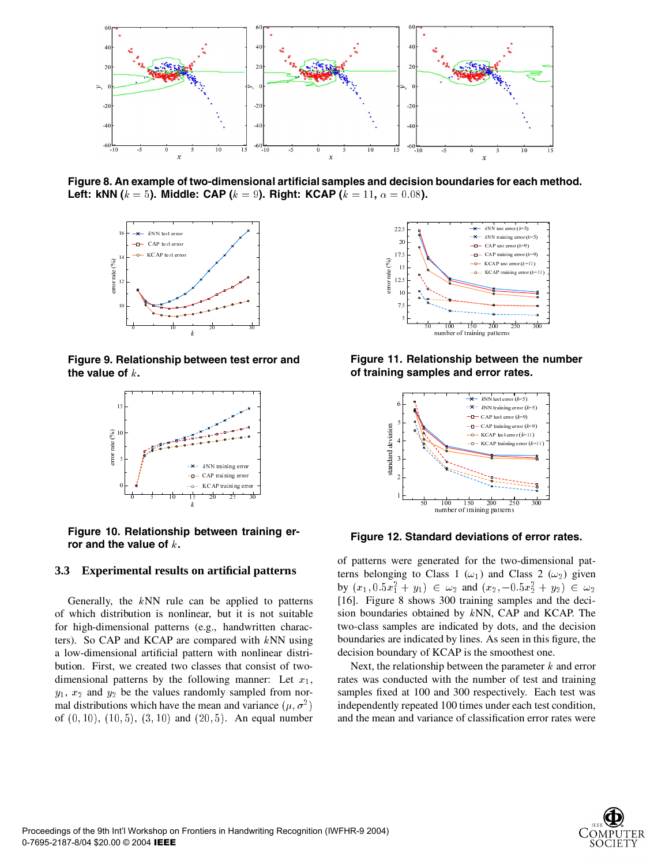

**Figure 8. An example of two-dimensional artificial samples and decision boundaries for each method. Left: kNN (** $k = 5$ **). Middle: CAP (** $k = 9$ **). Right: KCAP (** $k = 11$ **,**  $\alpha = 0.08$ **).** 



**Figure 9. Relationship between test error and the value of .**



**Figure 10. Relationship between training error and the value of .**

#### **3.3 Experimental results on artificial patterns**

Generally, the  $kNN$  rule can be applied to patterns of which distribution is nonlinear, but it is not suitable for high-dimensional patterns (e.g., handwritten characters). So CAP and KCAP are compared with  $kNN$  using a low-dimensional artificial pattern with nonlinear distribution. First, we created two classes that consist of twodimensional patterns by the following manner: Let  $x_1$ ,  $y_1, x_2$  and  $y_2$  be the values randomly sampled from normal distributions which have the mean and variance  $(\mu, \sigma^2)$ of  $(0, 10)$ ,  $(10, 5)$ ,  $(3, 10)$  and  $(20, 5)$ . An equal number



**Figure 11. Relationship between the number of training samples and error rates.**



**Figure 12. Standard deviations of error rates.**

and deviations of<br>erated for the two<br>ass 1 ( $\omega_1$ ) and C<br> $\in \omega_2$  and ( $x_2$ , - (<br>300 training sam<br>ned by kNN, CA<br>indicated by dots<br>ed by lines. As see<br>sCCAP is the smoo<br>ip between the par<br>with the number of<br>1100 times u of patterns were generated for the two-dimensional patterns belonging to Class 1 ( $\omega_1$ ) and Class 2 ( $\omega_2$ ) given by  $(x_1, 0.5x_1^2 + y_1) \in \omega_2$  and  $(x_2, -0.5x_2^2 + y_2) \in \omega_2$ [16]. Figure 8 shows 300 training samples and the decision boundaries obtained by  $kNN$ , CAP and KCAP. The two-class samples are indicated by dots, and the decision boundaries are indicated by lines. As seen in this figure, the decision boundary of KCAP is the smoothest one.

Next, the relationship between the parameter  $k$  and error rates was conducted with the number of test and training samples fixed at 100 and 300 respectively. Each test was independently repeated 100 times under each test condition, and the mean and variance of classification error rates were